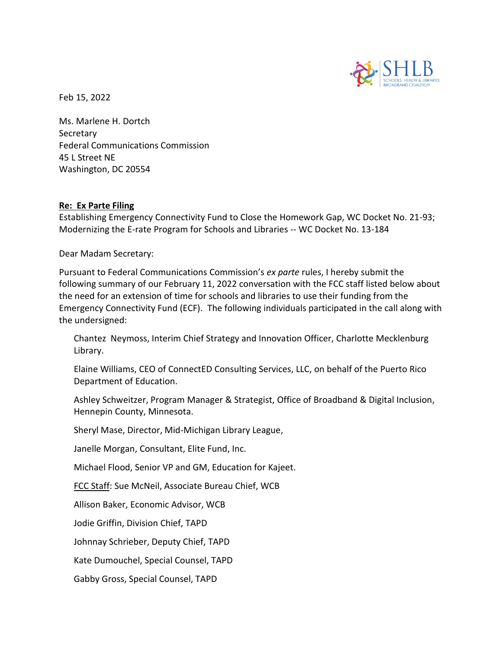

Feb 15, 2022

Ms. Marlene H. Dortch Secretary Federal Communications Commission 45 L Street NE Washington, DC 20554

## **Re: Ex Parte Filing**

Establishing Emergency Connectivity Fund to Close the Homework Gap, WC Docket No. 21-93; Modernizing the E‐rate Program for Schools and Libraries ‐‐ WC Docket No. 13‐184

Dear Madam Secretary:

Pursuant to Federal Communications Commission's *ex parte* rules, I hereby submit the following summary of our February 11, 2022 conversation with the FCC staff listed below about the need for an extension of time for schools and libraries to use their funding from the Emergency Connectivity Fund (ECF). The following individuals participated in the call along with the undersigned:

Chantez Neymoss, Interim Chief Strategy and Innovation Officer, Charlotte Mecklenburg Library.

Elaine Williams, CEO of ConnectED Consulting Services, LLC, on behalf of the Puerto Rico Department of Education.

Ashley Schweitzer, Program Manager & Strategist, Office of Broadband & Digital Inclusion, Hennepin County, Minnesota.

Sheryl Mase, Director, Mid-Michigan Library League,

Janelle Morgan, Consultant, Elite Fund, Inc.

Michael Flood, Senior VP and GM, Education for Kajeet.

FCC Staff: Sue McNeil, Associate Bureau Chief, WCB

Allison Baker, Economic Advisor, WCB

Jodie Griffin, Division Chief, TAPD

Johnnay Schrieber, Deputy Chief, TAPD

Kate Dumouchel, Special Counsel, TAPD

Gabby Gross, Special Counsel, TAPD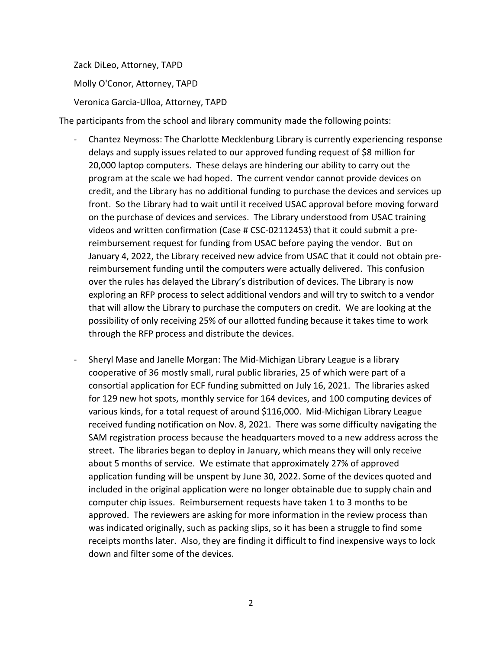Zack DiLeo, Attorney, TAPD Molly O'Conor, Attorney, TAPD Veronica Garcia-Ulloa, Attorney, TAPD

The participants from the school and library community made the following points:

- Chantez Neymoss: The Charlotte Mecklenburg Library is currently experiencing response delays and supply issues related to our approved funding request of \$8 million for 20,000 laptop computers. These delays are hindering our ability to carry out the program at the scale we had hoped. The current vendor cannot provide devices on credit, and the Library has no additional funding to purchase the devices and services up front. So the Library had to wait until it received USAC approval before moving forward on the purchase of devices and services. The Library understood from USAC training videos and written confirmation (Case # CSC-02112453) that it could submit a prereimbursement request for funding from USAC before paying the vendor. But on January 4, 2022, the Library received new advice from USAC that it could not obtain prereimbursement funding until the computers were actually delivered. This confusion over the rules has delayed the Library's distribution of devices. The Library is now exploring an RFP process to select additional vendors and will try to switch to a vendor that will allow the Library to purchase the computers on credit. We are looking at the possibility of only receiving 25% of our allotted funding because it takes time to work through the RFP process and distribute the devices.
- Sheryl Mase and Janelle Morgan: The Mid-Michigan Library League is a library cooperative of 36 mostly small, rural public libraries, 25 of which were part of a consortial application for ECF funding submitted on July 16, 2021. The libraries asked for 129 new hot spots, monthly service for 164 devices, and 100 computing devices of various kinds, for a total request of around \$116,000. Mid-Michigan Library League received funding notification on Nov. 8, 2021. There was some difficulty navigating the SAM registration process because the headquarters moved to a new address across the street. The libraries began to deploy in January, which means they will only receive about 5 months of service. We estimate that approximately 27% of approved application funding will be unspent by June 30, 2022. Some of the devices quoted and included in the original application were no longer obtainable due to supply chain and computer chip issues. Reimbursement requests have taken 1 to 3 months to be approved. The reviewers are asking for more information in the review process than was indicated originally, such as packing slips, so it has been a struggle to find some receipts months later. Also, they are finding it difficult to find inexpensive ways to lock down and filter some of the devices.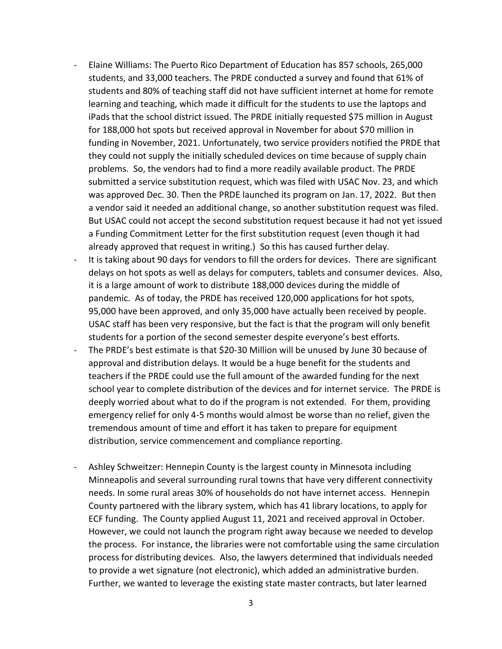- Elaine Williams: The Puerto Rico Department of Education has 857 schools, 265,000 students, and 33,000 teachers. The PRDE conducted a survey and found that 61% of students and 80% of teaching staff did not have sufficient internet at home for remote learning and teaching, which made it difficult for the students to use the laptops and iPads that the school district issued. The PRDE initially requested \$75 million in August for 188,000 hot spots but received approval in November for about \$70 million in funding in November, 2021. Unfortunately, two service providers notified the PRDE that they could not supply the initially scheduled devices on time because of supply chain problems. So, the vendors had to find a more readily available product. The PRDE submitted a service substitution request, which was filed with USAC Nov. 23, and which was approved Dec. 30. Then the PRDE launched its program on Jan. 17, 2022. But then a vendor said it needed an additional change, so another substitution request was filed. But USAC could not accept the second substitution request because it had not yet issued a Funding Commitment Letter for the first substitution request (even though it had already approved that request in writing.) So this has caused further delay.
- It is taking about 90 days for vendors to fill the orders for devices. There are significant delays on hot spots as well as delays for computers, tablets and consumer devices. Also, it is a large amount of work to distribute 188,000 devices during the middle of pandemic. As of today, the PRDE has received 120,000 applications for hot spots, 95,000 have been approved, and only 35,000 have actually been received by people. USAC staff has been very responsive, but the fact is that the program will only benefit students for a portion of the second semester despite everyone's best efforts.
- The PRDE's best estimate is that \$20-30 Million will be unused by June 30 because of approval and distribution delays. It would be a huge benefit for the students and teachers if the PRDE could use the full amount of the awarded funding for the next school year to complete distribution of the devices and for internet service. The PRDE is deeply worried about what to do if the program is not extended. For them, providing emergency relief for only 4-5 months would almost be worse than no relief, given the tremendous amount of time and effort it has taken to prepare for equipment distribution, service commencement and compliance reporting.
- Ashley Schweitzer: Hennepin County is the largest county in Minnesota including Minneapolis and several surrounding rural towns that have very different connectivity needs. In some rural areas 30% of households do not have internet access. Hennepin County partnered with the library system, which has 41 library locations, to apply for ECF funding. The County applied August 11, 2021 and received approval in October. However, we could not launch the program right away because we needed to develop the process. For instance, the libraries were not comfortable using the same circulation process for distributing devices. Also, the lawyers determined that individuals needed to provide a wet signature (not electronic), which added an administrative burden. Further, we wanted to leverage the existing state master contracts, but later learned